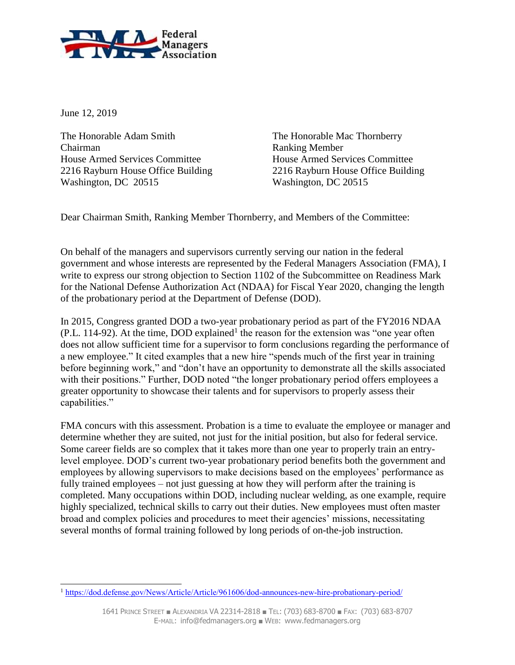

June 12, 2019

The Honorable Adam Smith The Honorable Mac Thornberry Chairman Ranking Member House Armed Services Committee House Armed Services Committee 2216 Rayburn House Office Building 2216 Rayburn House Office Building Washington, DC 20515 Washington, DC 20515

Dear Chairman Smith, Ranking Member Thornberry, and Members of the Committee:

On behalf of the managers and supervisors currently serving our nation in the federal government and whose interests are represented by the Federal Managers Association (FMA), I write to express our strong objection to Section 1102 of the Subcommittee on Readiness Mark for the National Defense Authorization Act (NDAA) for Fiscal Year 2020, changing the length of the probationary period at the Department of Defense (DOD).

In 2015, Congress granted DOD a two-year probationary period as part of the FY2016 NDAA  $(P.L. 114-92)$ . At the time, DOD explained<sup>1</sup> the reason for the extension was "one year often does not allow sufficient time for a supervisor to form conclusions regarding the performance of a new employee." It cited examples that a new hire "spends much of the first year in training before beginning work," and "don't have an opportunity to demonstrate all the skills associated with their positions." Further, DOD noted "the longer probationary period offers employees a greater opportunity to showcase their talents and for supervisors to properly assess their capabilities."

FMA concurs with this assessment. Probation is a time to evaluate the employee or manager and determine whether they are suited, not just for the initial position, but also for federal service. Some career fields are so complex that it takes more than one year to properly train an entrylevel employee. DOD's current two-year probationary period benefits both the government and employees by allowing supervisors to make decisions based on the employees' performance as fully trained employees – not just guessing at how they will perform after the training is completed. Many occupations within DOD, including nuclear welding, as one example, require highly specialized, technical skills to carry out their duties. New employees must often master broad and complex policies and procedures to meet their agencies' missions, necessitating several months of formal training followed by long periods of on-the-job instruction.

 $\overline{a}$ <sup>1</sup> <https://dod.defense.gov/News/Article/Article/961606/dod-announces-new-hire-probationary-period/>